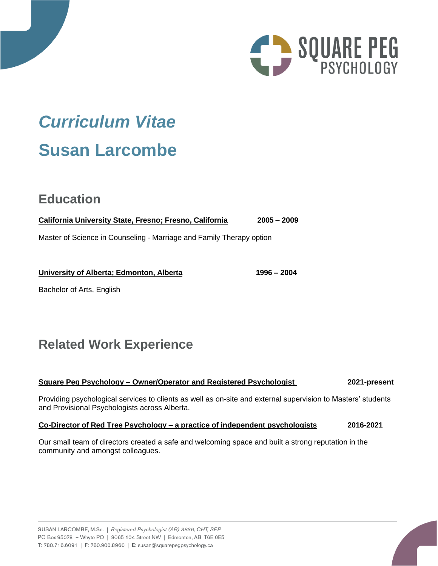

# *Curriculum Vitae* **Susan Larcombe**

## **Education**

**California University State, Fresno; Fresno, California 2005 – 2009**

Master of Science in Counseling - Marriage and Family Therapy option

**University of Alberta; Edmonton, Alberta 1996 – 2004**

Bachelor of Arts, English

## **Related Work Experience**

### **Square Peg Psychology – Owner/Operator and Registered Psychologist 2021-present**

Providing psychological services to clients as well as on-site and external supervision to Masters' students and Provisional Psychologists across Alberta.

### **Co-Director of Red Tree Psychology – a practice of independent psychologists 2016-2021**

Our small team of directors created a safe and welcoming space and built a strong reputation in the community and amongst colleagues.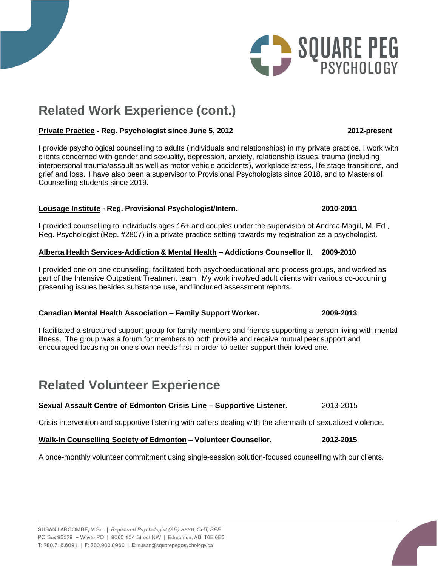

## **Related Work Experience (cont.)**

### **Private Practice - Reg. Psychologist since June 5, 2012 2012-present**

I provide psychological counselling to adults (individuals and relationships) in my private practice. I work with clients concerned with gender and sexuality, depression, anxiety, relationship issues, trauma (including interpersonal trauma/assault as well as motor vehicle accidents), workplace stress, life stage transitions, and grief and loss. I have also been a supervisor to Provisional Psychologists since 2018, and to Masters of Counselling students since 2019.

### **Lousage Institute - Reg. Provisional Psychologist/Intern. 2010-2011**

I provided counselling to individuals ages 16+ and couples under the supervision of Andrea Magill, M. Ed., Reg. Psychologist (Reg. #2807) in a private practice setting towards my registration as a psychologist.

### **Alberta Health Services-Addiction & Mental Health – Addictions Counsellor II. 2009-2010**

I provided one on one counseling, facilitated both psychoeducational and process groups, and worked as part of the Intensive Outpatient Treatment team. My work involved adult clients with various co-occurring presenting issues besides substance use, and included assessment reports.

### **Canadian Mental Health Association – Family Support Worker. 2009-2013**

I facilitated a structured support group for family members and friends supporting a person living with mental illness. The group was a forum for members to both provide and receive mutual peer support and encouraged focusing on one's own needs first in order to better support their loved one.

## **Related Volunteer Experience**

### **Sexual Assault Centre of Edmonton Crisis Line – Supportive Listener**. 2013-2015

Crisis intervention and supportive listening with callers dealing with the aftermath of sexualized violence.

### **Walk-In Counselling Society of Edmonton – Volunteer Counsellor. 2012-2015**

A once-monthly volunteer commitment using single-session solution-focused counselling with our clients.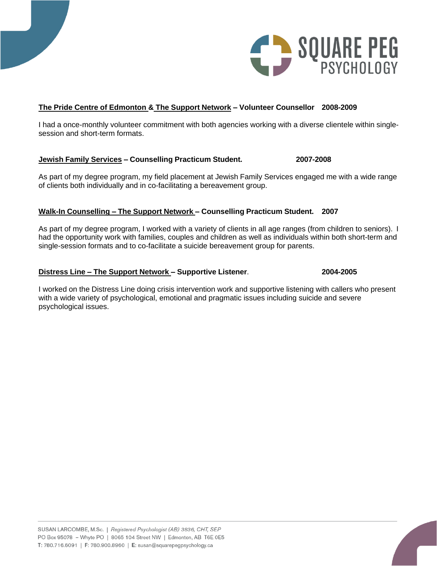

### **The Pride Centre of Edmonton & The Support Network – Volunteer Counsellor 2008-2009**

I had a once-monthly volunteer commitment with both agencies working with a diverse clientele within singlesession and short-term formats.

### **Jewish Family Services – Counselling Practicum Student. 2007-2008**

As part of my degree program, my field placement at Jewish Family Services engaged me with a wide range of clients both individually and in co-facilitating a bereavement group.

### **Walk-In Counselling – The Support Network – Counselling Practicum Student. 2007**

As part of my degree program, I worked with a variety of clients in all age ranges (from children to seniors). I had the opportunity work with families, couples and children as well as individuals within both short-term and single-session formats and to co-facilitate a suicide bereavement group for parents.

### **Distress Line – The Support Network – Supportive Listener**. **2004-2005**

I worked on the Distress Line doing crisis intervention work and supportive listening with callers who present with a wide variety of psychological, emotional and pragmatic issues including suicide and severe psychological issues.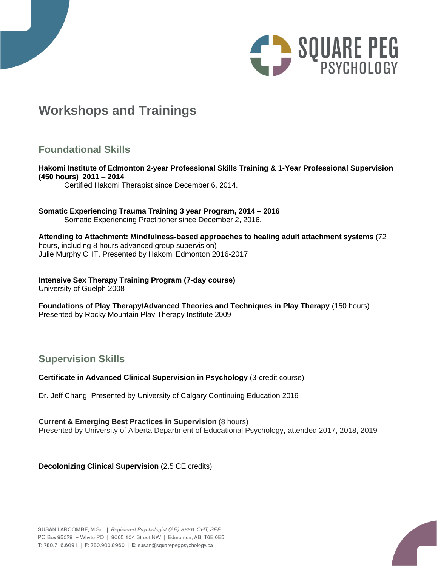

## **Workshops and Trainings**

### **Foundational Skills**

**Hakomi Institute of Edmonton 2-year Professional Skills Training & 1-Year Professional Supervision (450 hours) 2011 – 2014** 

Certified Hakomi Therapist since December 6, 2014.

**Somatic Experiencing Trauma Training 3 year Program, 2014 – 2016** Somatic Experiencing Practitioner since December 2, 2016.

**Attending to Attachment: Mindfulness-based approaches to healing adult attachment systems** (72 hours, including 8 hours advanced group supervision) Julie Murphy CHT. Presented by Hakomi Edmonton 2016-2017

**Intensive Sex Therapy Training Program (7-day course)** University of Guelph 2008

**Foundations of Play Therapy/Advanced Theories and Techniques in Play Therapy** (150 hours) Presented by Rocky Mountain Play Therapy Institute 2009

### **Supervision Skills**

**Certificate in Advanced Clinical Supervision in Psychology** (3-credit course)

Dr. Jeff Chang. Presented by University of Calgary Continuing Education 2016

**Current & Emerging Best Practices in Supervision** (8 hours) Presented by University of Alberta Department of Educational Psychology, attended 2017, 2018, 2019

**Decolonizing Clinical Supervision** (2.5 CE credits)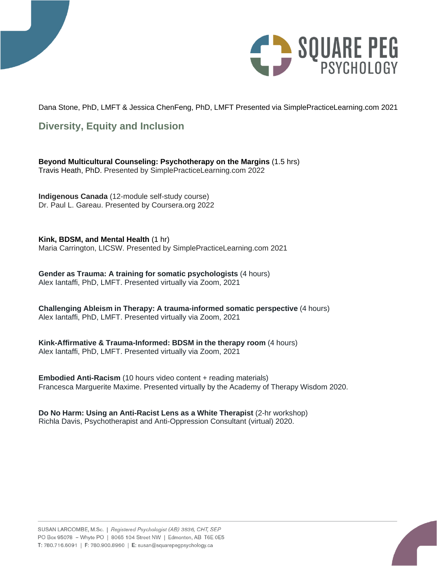



Dana Stone, PhD, LMFT & Jessica ChenFeng, PhD, LMFT Presented via SimplePracticeLearning.com 2021

### **Diversity, Equity and Inclusion**

**Beyond Multicultural Counseling: Psychotherapy on the Margins** (1.5 hrs) Travis Heath, PhD. Presented by SimplePracticeLearning.com 2022

**Indigenous Canada** (12-module self-study course) Dr. Paul L. Gareau. Presented by Coursera.org 2022

**Kink, BDSM, and Mental Health** (1 hr) Maria Carrington, LICSW. Presented by SimplePracticeLearning.com 2021

**Gender as Trauma: A training for somatic psychologists** (4 hours) Alex Iantaffi, PhD, LMFT. Presented virtually via Zoom, 2021

**Challenging Ableism in Therapy: A trauma-informed somatic perspective** (4 hours) Alex Iantaffi, PhD, LMFT. Presented virtually via Zoom, 2021

**Kink-Affirmative & Trauma-Informed: BDSM in the therapy room** (4 hours) Alex Iantaffi, PhD, LMFT. Presented virtually via Zoom, 2021

**Embodied Anti-Racism** (10 hours video content + reading materials) Francesca Marguerite Maxime. Presented virtually by the Academy of Therapy Wisdom 2020.

**Do No Harm: Using an Anti-Racist Lens as a White Therapist** (2-hr workshop) Richla Davis, Psychotherapist and Anti-Oppression Consultant (virtual) 2020.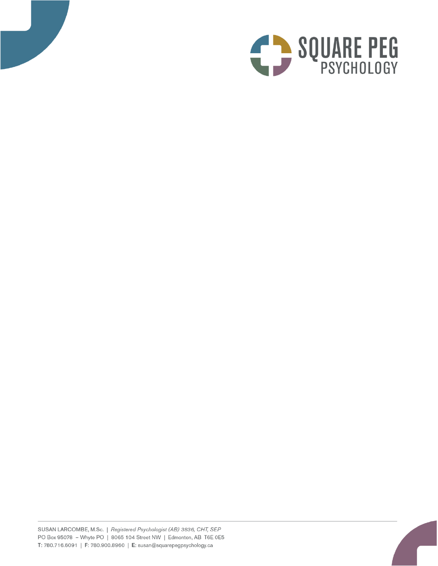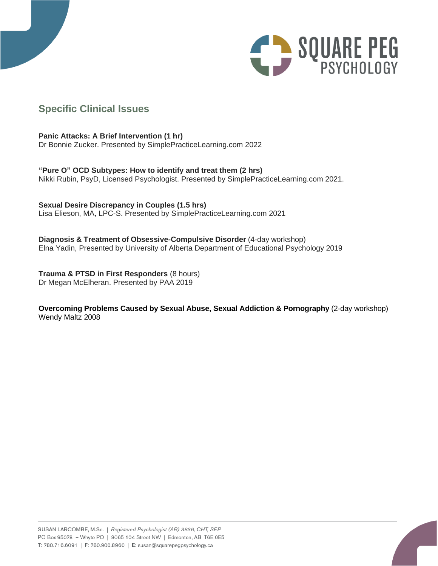

### **Specific Clinical Issues**

**Panic Attacks: A Brief Intervention (1 hr)** Dr Bonnie Zucker. Presented by SimplePracticeLearning.com 2022

**"Pure O" OCD Subtypes: How to identify and treat them (2 hrs)** Nikki Rubin, PsyD, Licensed Psychologist. Presented by SimplePracticeLearning.com 2021.

**Sexual Desire Discrepancy in Couples (1.5 hrs)** Lisa Elieson, MA, LPC-S. Presented by SimplePracticeLearning.com 2021

**Diagnosis & Treatment of Obsessive-Compulsive Disorder** (4-day workshop) Elna Yadin, Presented by University of Alberta Department of Educational Psychology 2019

**Trauma & PTSD in First Responders** (8 hours) Dr Megan McElheran. Presented by PAA 2019

**Overcoming Problems Caused by Sexual Abuse, Sexual Addiction & Pornography** (2-day workshop) Wendy Maltz 2008